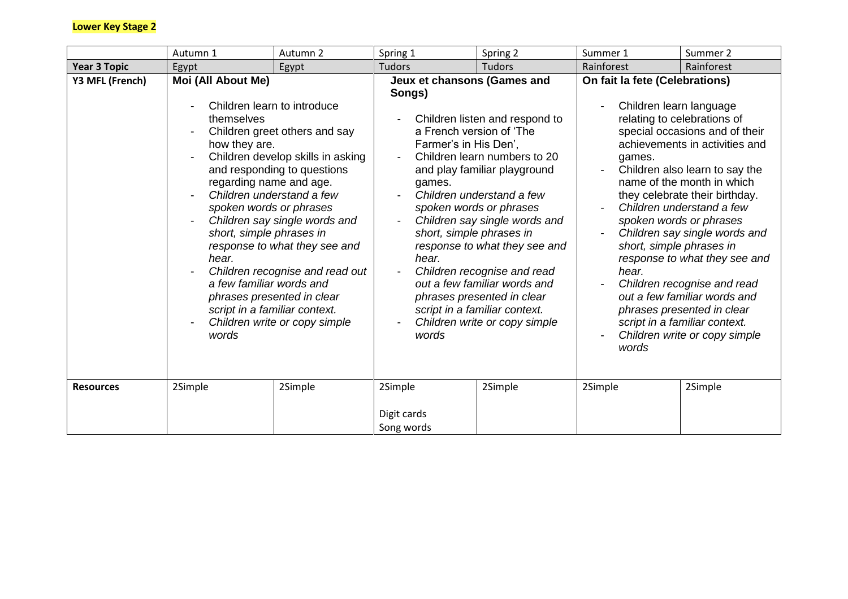## **Lower Key Stage 2**

|                     | Autumn 1                                                                                                                                                                          | Autumn 2                                                                                                                                                                                                                                                                                                                                                           | Spring 1                                                                                   | Spring 2                                                                                                                                                                                                                                                                                                                                                                                                                                        | Summer 1                                                                                                          | Summer 2                                                                                                                                                                                                                                                                                                                                                                                                                                                                                   |
|---------------------|-----------------------------------------------------------------------------------------------------------------------------------------------------------------------------------|--------------------------------------------------------------------------------------------------------------------------------------------------------------------------------------------------------------------------------------------------------------------------------------------------------------------------------------------------------------------|--------------------------------------------------------------------------------------------|-------------------------------------------------------------------------------------------------------------------------------------------------------------------------------------------------------------------------------------------------------------------------------------------------------------------------------------------------------------------------------------------------------------------------------------------------|-------------------------------------------------------------------------------------------------------------------|--------------------------------------------------------------------------------------------------------------------------------------------------------------------------------------------------------------------------------------------------------------------------------------------------------------------------------------------------------------------------------------------------------------------------------------------------------------------------------------------|
| <b>Year 3 Topic</b> | Egypt                                                                                                                                                                             | Egypt                                                                                                                                                                                                                                                                                                                                                              | <b>Tudors</b>                                                                              | <b>Tudors</b>                                                                                                                                                                                                                                                                                                                                                                                                                                   | Rainforest                                                                                                        | Rainforest                                                                                                                                                                                                                                                                                                                                                                                                                                                                                 |
| Y3 MFL (French)     | Moi (All About Me)<br>themselves<br>how they are.<br>regarding name and age.<br>spoken words or phrases<br>short, simple phrases in<br>hear.<br>a few familiar words and<br>words | Children learn to introduce<br>Children greet others and say<br>Children develop skills in asking<br>and responding to questions<br>Children understand a few<br>Children say single words and<br>response to what they see and<br>Children recognise and read out<br>phrases presented in clear<br>script in a familiar context.<br>Children write or copy simple | Jeux et chansons (Games and<br>Songs)<br>Farmer's in His Den',<br>games.<br>hear.<br>words | Children listen and respond to<br>a French version of 'The<br>Children learn numbers to 20<br>and play familiar playground<br>Children understand a few<br>spoken words or phrases<br>Children say single words and<br>short, simple phrases in<br>response to what they see and<br>Children recognise and read<br>out a few familiar words and<br>phrases presented in clear<br>script in a familiar context.<br>Children write or copy simple | On fait la fete (Celebrations)<br>Children learn language<br>games.<br>short, simple phrases in<br>hear.<br>words | relating to celebrations of<br>special occasions and of their<br>achievements in activities and<br>Children also learn to say the<br>name of the month in which<br>they celebrate their birthday.<br>Children understand a few<br>spoken words or phrases<br>Children say single words and<br>response to what they see and<br>Children recognise and read<br>out a few familiar words and<br>phrases presented in clear<br>script in a familiar context.<br>Children write or copy simple |
| <b>Resources</b>    | 2Simple                                                                                                                                                                           | 2Simple                                                                                                                                                                                                                                                                                                                                                            | 2Simple<br>Digit cards<br>Song words                                                       | 2Simple                                                                                                                                                                                                                                                                                                                                                                                                                                         | 2Simple                                                                                                           | 2Simple                                                                                                                                                                                                                                                                                                                                                                                                                                                                                    |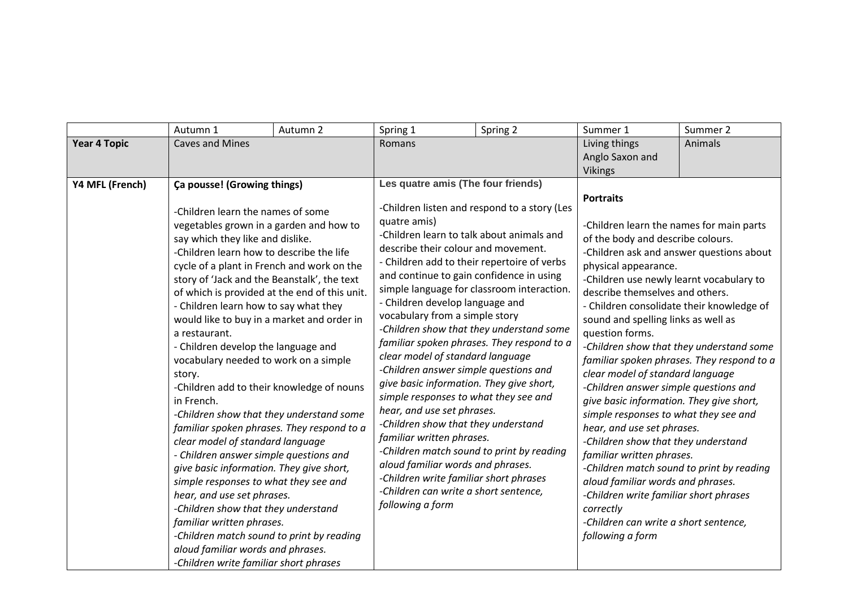|                     | Autumn 1                                                                                                                                                                                                                                                                                                                                                                                                                                                                                                                                                                                                                                                                                                                                                                                                                                                                                                                                                                                                                  | Autumn 2 | Spring 1                                                                                                                                                                                                                                                                                                                                                                                                                                                                                                                                                                                                                                                                                                                                                                                                                                                      | Spring 2                                                                                   | Summer 1                                                                                                                                                                                                                                                                                                                                                                                                                                                                                                                                                                                                                                                                                                                                                                                  | Summer 2                                                                                                                           |
|---------------------|---------------------------------------------------------------------------------------------------------------------------------------------------------------------------------------------------------------------------------------------------------------------------------------------------------------------------------------------------------------------------------------------------------------------------------------------------------------------------------------------------------------------------------------------------------------------------------------------------------------------------------------------------------------------------------------------------------------------------------------------------------------------------------------------------------------------------------------------------------------------------------------------------------------------------------------------------------------------------------------------------------------------------|----------|---------------------------------------------------------------------------------------------------------------------------------------------------------------------------------------------------------------------------------------------------------------------------------------------------------------------------------------------------------------------------------------------------------------------------------------------------------------------------------------------------------------------------------------------------------------------------------------------------------------------------------------------------------------------------------------------------------------------------------------------------------------------------------------------------------------------------------------------------------------|--------------------------------------------------------------------------------------------|-------------------------------------------------------------------------------------------------------------------------------------------------------------------------------------------------------------------------------------------------------------------------------------------------------------------------------------------------------------------------------------------------------------------------------------------------------------------------------------------------------------------------------------------------------------------------------------------------------------------------------------------------------------------------------------------------------------------------------------------------------------------------------------------|------------------------------------------------------------------------------------------------------------------------------------|
| <b>Year 4 Topic</b> | <b>Caves and Mines</b>                                                                                                                                                                                                                                                                                                                                                                                                                                                                                                                                                                                                                                                                                                                                                                                                                                                                                                                                                                                                    |          | Romans                                                                                                                                                                                                                                                                                                                                                                                                                                                                                                                                                                                                                                                                                                                                                                                                                                                        |                                                                                            | Living things<br>Anglo Saxon and                                                                                                                                                                                                                                                                                                                                                                                                                                                                                                                                                                                                                                                                                                                                                          | Animals                                                                                                                            |
|                     |                                                                                                                                                                                                                                                                                                                                                                                                                                                                                                                                                                                                                                                                                                                                                                                                                                                                                                                                                                                                                           |          |                                                                                                                                                                                                                                                                                                                                                                                                                                                                                                                                                                                                                                                                                                                                                                                                                                                               |                                                                                            | <b>Vikings</b>                                                                                                                                                                                                                                                                                                                                                                                                                                                                                                                                                                                                                                                                                                                                                                            |                                                                                                                                    |
| Y4 MFL (French)     | <b>Ca pousse! (Growing things)</b><br>-Children learn the names of some<br>vegetables grown in a garden and how to<br>say which they like and dislike.<br>-Children learn how to describe the life<br>cycle of a plant in French and work on the<br>story of 'Jack and the Beanstalk', the text<br>of which is provided at the end of this unit.<br>- Children learn how to say what they<br>would like to buy in a market and order in<br>a restaurant.<br>- Children develop the language and<br>vocabulary needed to work on a simple<br>story.<br>-Children add to their knowledge of nouns<br>in French.<br>-Children show that they understand some<br>familiar spoken phrases. They respond to a<br>clear model of standard language<br>- Children answer simple questions and<br>give basic information. They give short,<br>simple responses to what they see and<br>hear, and use set phrases.<br>-Children show that they understand<br>familiar written phrases.<br>-Children match sound to print by reading |          | Les quatre amis (The four friends)<br>quatre amis)<br>-Children learn to talk about animals and<br>describe their colour and movement.<br>- Children add to their repertoire of verbs<br>and continue to gain confidence in using<br>simple language for classroom interaction.<br>- Children develop language and<br>vocabulary from a simple story<br>-Children show that they understand some<br>clear model of standard language<br>-Children answer simple questions and<br>give basic information. They give short,<br>simple responses to what they see and<br>hear, and use set phrases.<br>-Children show that they understand<br>familiar written phrases.<br>-Children match sound to print by reading<br>aloud familiar words and phrases.<br>-Children write familiar short phrases<br>-Children can write a short sentence,<br>following a form | -Children listen and respond to a story (Les<br>familiar spoken phrases. They respond to a | <b>Portraits</b><br>-Children learn the names for main parts<br>of the body and describe colours.<br>physical appearance.<br>-Children use newly learnt vocabulary to<br>describe themselves and others.<br>- Children consolidate their knowledge of<br>sound and spelling links as well as<br>question forms.<br>clear model of standard language<br>-Children answer simple questions and<br>give basic information. They give short,<br>simple responses to what they see and<br>hear, and use set phrases.<br>-Children show that they understand<br>familiar written phrases.<br>-Children match sound to print by reading<br>aloud familiar words and phrases.<br>-Children write familiar short phrases<br>correctly<br>-Children can write a short sentence,<br>following a form | -Children ask and answer questions about<br>-Children show that they understand some<br>familiar spoken phrases. They respond to a |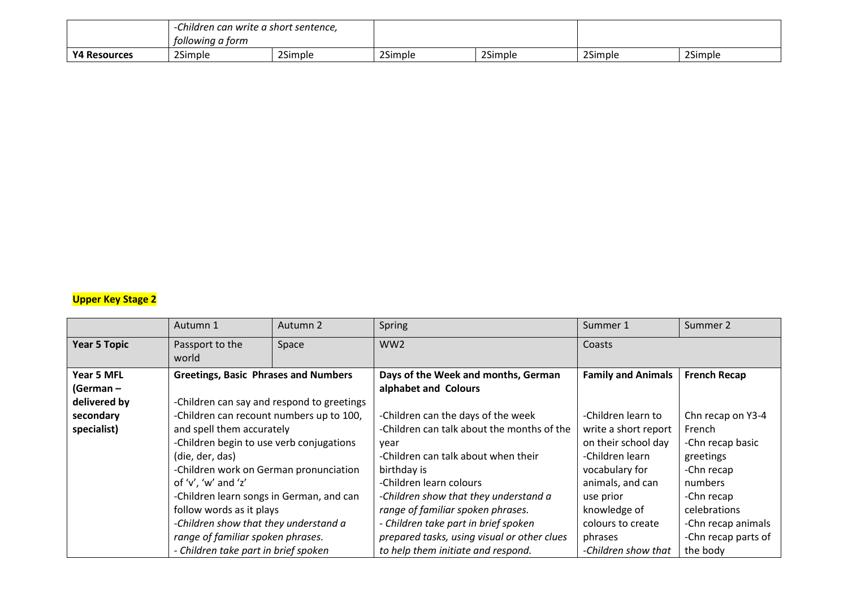|                     | Children can write a short sentence,<br>tollowing a torm |         |         |         |         |         |
|---------------------|----------------------------------------------------------|---------|---------|---------|---------|---------|
| <b>Y4 Resources</b> | 2Simple                                                  | 2Simple | 2Simple | 2Simple | 2Simple | 2Simple |

## **Upper Key Stage 2**

|                     | Autumn 1                                                                                                                                                                                                             | Autumn 2                                   | Spring                                      | Summer 1                  | Summer 2            |
|---------------------|----------------------------------------------------------------------------------------------------------------------------------------------------------------------------------------------------------------------|--------------------------------------------|---------------------------------------------|---------------------------|---------------------|
| <b>Year 5 Topic</b> | Passport to the<br>world                                                                                                                                                                                             | Space                                      | WW <sub>2</sub>                             | Coasts                    |                     |
| Year 5 MFL          | <b>Greetings, Basic Phrases and Numbers</b>                                                                                                                                                                          |                                            | Days of the Week and months, German         | <b>Family and Animals</b> | <b>French Recap</b> |
| (German –           |                                                                                                                                                                                                                      |                                            | alphabet and Colours                        |                           |                     |
| delivered by        |                                                                                                                                                                                                                      | -Children can say and respond to greetings |                                             |                           |                     |
| secondary           | -Children can recount numbers up to 100,                                                                                                                                                                             |                                            | -Children can the days of the week          | -Children learn to        | Chn recap on Y3-4   |
| specialist)         | and spell them accurately                                                                                                                                                                                            |                                            | -Children can talk about the months of the  | write a short report      | French              |
|                     | -Children begin to use verb conjugations                                                                                                                                                                             |                                            | year                                        | on their school day       | -Chn recap basic    |
|                     | (die, der, das)                                                                                                                                                                                                      |                                            | -Children can talk about when their         | -Children learn           | greetings           |
|                     | -Children work on German pronunciation                                                                                                                                                                               |                                            | birthday is                                 | vocabulary for            | -Chn recap          |
|                     | of $'v'$ , 'w' and 'z'<br>-Children learn songs in German, and can<br>follow words as it plays<br>-Children show that they understand a<br>range of familiar spoken phrases.<br>- Children take part in brief spoken |                                            | -Children learn colours                     | animals, and can          | numbers             |
|                     |                                                                                                                                                                                                                      |                                            | -Children show that they understand a       | use prior                 | -Chn recap          |
|                     |                                                                                                                                                                                                                      |                                            | range of familiar spoken phrases.           | knowledge of              | celebrations        |
|                     |                                                                                                                                                                                                                      |                                            | - Children take part in brief spoken        | colours to create         | -Chn recap animals  |
|                     |                                                                                                                                                                                                                      |                                            | prepared tasks, using visual or other clues | phrases                   | -Chn recap parts of |
|                     |                                                                                                                                                                                                                      |                                            | to help them initiate and respond.          | -Children show that       | the body            |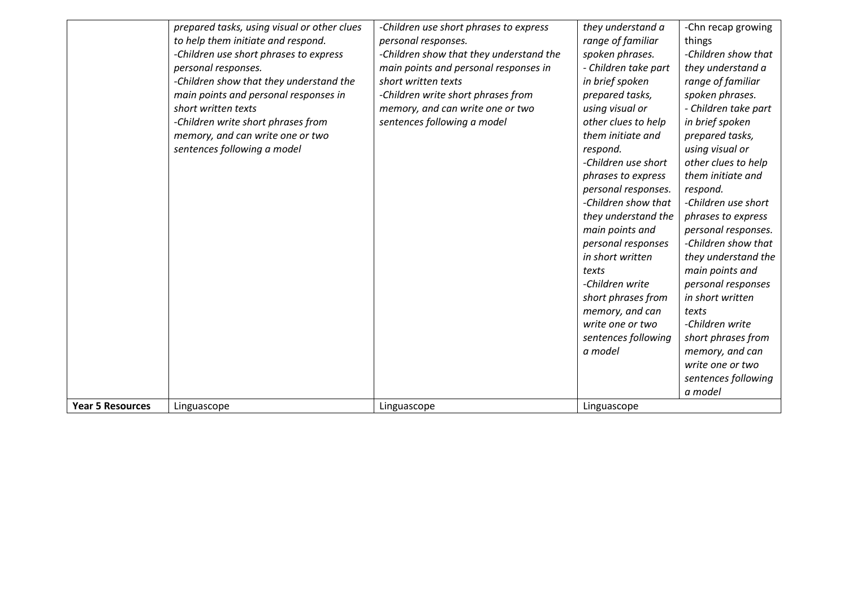|                         | prepared tasks, using visual or other clues<br>to help them initiate and respond.<br>-Children use short phrases to express<br>personal responses.<br>-Children show that they understand the<br>main points and personal responses in<br>short written texts<br>-Children write short phrases from<br>memory, and can write one or two<br>sentences following a model | -Children use short phrases to express<br>personal responses.<br>-Children show that they understand the<br>main points and personal responses in<br>short written texts<br>-Children write short phrases from<br>memory, and can write one or two<br>sentences following a model | they understand a<br>range of familiar<br>spoken phrases.<br>- Children take part<br>in brief spoken<br>prepared tasks,<br>using visual or<br>other clues to help<br>them initiate and<br>respond.<br>-Children use short<br>phrases to express<br>personal responses.<br>-Children show that<br>they understand the<br>main points and<br>personal responses<br>in short written<br>texts<br>-Children write<br>short phrases from<br>memory, and can<br>write one or two<br>sentences following<br>a model | -Chn recap growing<br>things<br>-Children show that<br>they understand a<br>range of familiar<br>spoken phrases.<br>- Children take part<br>in brief spoken<br>prepared tasks,<br>using visual or<br>other clues to help<br>them initiate and<br>respond.<br>-Children use short<br>phrases to express<br>personal responses.<br>-Children show that<br>they understand the<br>main points and<br>personal responses<br>in short written<br>texts<br>-Children write<br>short phrases from<br>memory, and can |
|-------------------------|------------------------------------------------------------------------------------------------------------------------------------------------------------------------------------------------------------------------------------------------------------------------------------------------------------------------------------------------------------------------|-----------------------------------------------------------------------------------------------------------------------------------------------------------------------------------------------------------------------------------------------------------------------------------|--------------------------------------------------------------------------------------------------------------------------------------------------------------------------------------------------------------------------------------------------------------------------------------------------------------------------------------------------------------------------------------------------------------------------------------------------------------------------------------------------------------|---------------------------------------------------------------------------------------------------------------------------------------------------------------------------------------------------------------------------------------------------------------------------------------------------------------------------------------------------------------------------------------------------------------------------------------------------------------------------------------------------------------|
|                         |                                                                                                                                                                                                                                                                                                                                                                        |                                                                                                                                                                                                                                                                                   |                                                                                                                                                                                                                                                                                                                                                                                                                                                                                                              | write one or two                                                                                                                                                                                                                                                                                                                                                                                                                                                                                              |
|                         |                                                                                                                                                                                                                                                                                                                                                                        |                                                                                                                                                                                                                                                                                   |                                                                                                                                                                                                                                                                                                                                                                                                                                                                                                              | sentences following<br>a model                                                                                                                                                                                                                                                                                                                                                                                                                                                                                |
| <b>Year 5 Resources</b> | Linguascope                                                                                                                                                                                                                                                                                                                                                            | Linguascope                                                                                                                                                                                                                                                                       | Linguascope                                                                                                                                                                                                                                                                                                                                                                                                                                                                                                  |                                                                                                                                                                                                                                                                                                                                                                                                                                                                                                               |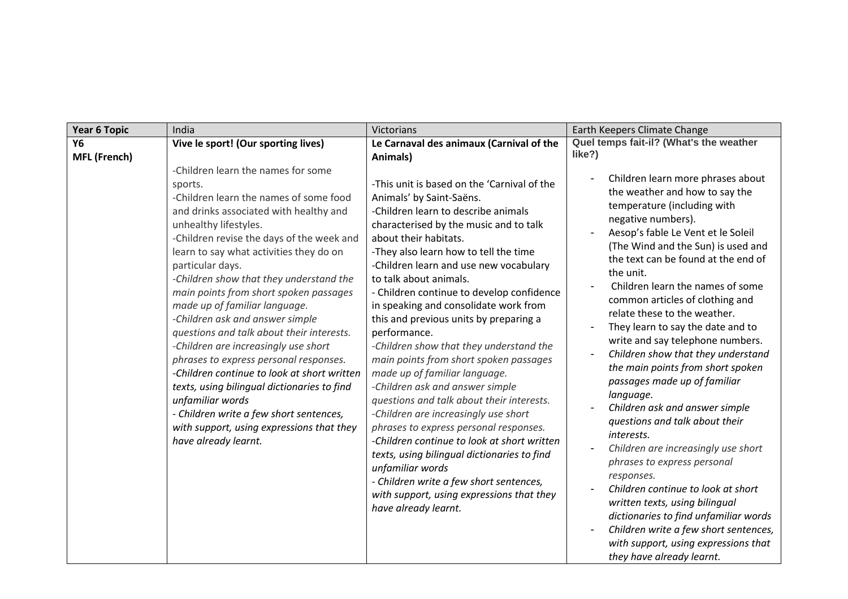| <b>Year 6 Topic</b> | India                                                                                                                                                                                                                                                                                                                                                                                                                                                                                                                                                                                                                                                                                                                                                                                            | Victorians                                                                                                                                                                                                                                                                                                                                                                                                                                                                                                                                                                                                                                                                                                                                                                                                                                                                                                                                                               | Earth Keepers Climate Change                                                                                                                                                                                                                                                                                                                                                                                                                                                                                                                                                                                                                                                                                                                                                                                                                                                                                                                                          |  |  |
|---------------------|--------------------------------------------------------------------------------------------------------------------------------------------------------------------------------------------------------------------------------------------------------------------------------------------------------------------------------------------------------------------------------------------------------------------------------------------------------------------------------------------------------------------------------------------------------------------------------------------------------------------------------------------------------------------------------------------------------------------------------------------------------------------------------------------------|--------------------------------------------------------------------------------------------------------------------------------------------------------------------------------------------------------------------------------------------------------------------------------------------------------------------------------------------------------------------------------------------------------------------------------------------------------------------------------------------------------------------------------------------------------------------------------------------------------------------------------------------------------------------------------------------------------------------------------------------------------------------------------------------------------------------------------------------------------------------------------------------------------------------------------------------------------------------------|-----------------------------------------------------------------------------------------------------------------------------------------------------------------------------------------------------------------------------------------------------------------------------------------------------------------------------------------------------------------------------------------------------------------------------------------------------------------------------------------------------------------------------------------------------------------------------------------------------------------------------------------------------------------------------------------------------------------------------------------------------------------------------------------------------------------------------------------------------------------------------------------------------------------------------------------------------------------------|--|--|
| Υ6                  | Vive le sport! (Our sporting lives)                                                                                                                                                                                                                                                                                                                                                                                                                                                                                                                                                                                                                                                                                                                                                              | Le Carnaval des animaux (Carnival of the                                                                                                                                                                                                                                                                                                                                                                                                                                                                                                                                                                                                                                                                                                                                                                                                                                                                                                                                 | Quel temps fait-il? (What's the weather                                                                                                                                                                                                                                                                                                                                                                                                                                                                                                                                                                                                                                                                                                                                                                                                                                                                                                                               |  |  |
| <b>MFL (French)</b> |                                                                                                                                                                                                                                                                                                                                                                                                                                                                                                                                                                                                                                                                                                                                                                                                  | Animals)                                                                                                                                                                                                                                                                                                                                                                                                                                                                                                                                                                                                                                                                                                                                                                                                                                                                                                                                                                 | like?)                                                                                                                                                                                                                                                                                                                                                                                                                                                                                                                                                                                                                                                                                                                                                                                                                                                                                                                                                                |  |  |
|                     | -Children learn the names for some<br>sports.<br>-Children learn the names of some food<br>and drinks associated with healthy and<br>unhealthy lifestyles.<br>-Children revise the days of the week and<br>learn to say what activities they do on<br>particular days.<br>-Children show that they understand the<br>main points from short spoken passages<br>made up of familiar language.<br>-Children ask and answer simple<br>questions and talk about their interests.<br>-Children are increasingly use short<br>phrases to express personal responses.<br>-Children continue to look at short written<br>texts, using bilingual dictionaries to find<br>unfamiliar words<br>- Children write a few short sentences,<br>with support, using expressions that they<br>have already learnt. | -This unit is based on the 'Carnival of the<br>Animals' by Saint-Saëns.<br>-Children learn to describe animals<br>characterised by the music and to talk<br>about their habitats.<br>-They also learn how to tell the time<br>-Children learn and use new vocabulary<br>to talk about animals.<br>- Children continue to develop confidence<br>in speaking and consolidate work from<br>this and previous units by preparing a<br>performance.<br>-Children show that they understand the<br>main points from short spoken passages<br>made up of familiar language.<br>-Children ask and answer simple<br>questions and talk about their interests.<br>-Children are increasingly use short<br>phrases to express personal responses.<br>-Children continue to look at short written<br>texts, using bilingual dictionaries to find<br>unfamiliar words<br>- Children write a few short sentences,<br>with support, using expressions that they<br>have already learnt. | Children learn more phrases about<br>the weather and how to say the<br>temperature (including with<br>negative numbers).<br>Aesop's fable Le Vent et le Soleil<br>(The Wind and the Sun) is used and<br>the text can be found at the end of<br>the unit.<br>Children learn the names of some<br>common articles of clothing and<br>relate these to the weather.<br>They learn to say the date and to<br>write and say telephone numbers.<br>Children show that they understand<br>the main points from short spoken<br>passages made up of familiar<br>language.<br>Children ask and answer simple<br>questions and talk about their<br>interests.<br>Children are increasingly use short<br>phrases to express personal<br>responses.<br>Children continue to look at short<br>written texts, using bilingual<br>dictionaries to find unfamiliar words<br>Children write a few short sentences,<br>with support, using expressions that<br>they have already learnt. |  |  |